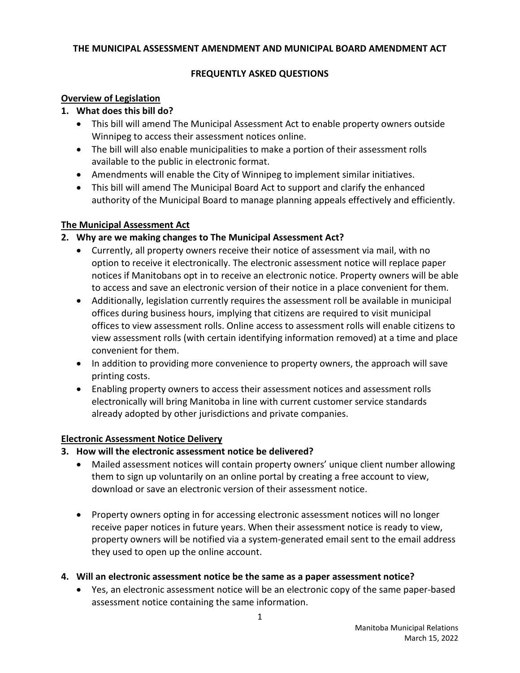#### **THE MUNICIPAL ASSESSMENT AMENDMENT AND MUNICIPAL BOARD AMENDMENT ACT**

#### **FREQUENTLY ASKED QUESTIONS**

#### **Overview of Legislation**

#### **1. What does this bill do?**

- This bill will amend The Municipal Assessment Act to enable property owners outside Winnipeg to access their assessment notices online.
- The bill will also enable municipalities to make a portion of their assessment rolls available to the public in electronic format.
- Amendments will enable the City of Winnipeg to implement similar initiatives.
- This bill will amend The Municipal Board Act to support and clarify the enhanced authority of the Municipal Board to manage planning appeals effectively and efficiently.

#### **The Municipal Assessment Act**

## **2. Why are we making changes to The Municipal Assessment Act?**

- Currently, all property owners receive their notice of assessment via mail, with no option to receive it electronically. The electronic assessment notice will replace paper notices if Manitobans opt in to receive an electronic notice. Property owners will be able to access and save an electronic version of their notice in a place convenient for them.
- Additionally, legislation currently requires the assessment roll be available in municipal offices during business hours, implying that citizens are required to visit municipal offices to view assessment rolls. Online access to assessment rolls will enable citizens to view assessment rolls (with certain identifying information removed) at a time and place convenient for them.
- In addition to providing more convenience to property owners, the approach will save printing costs.
- Enabling property owners to access their assessment notices and assessment rolls electronically will bring Manitoba in line with current customer service standards already adopted by other jurisdictions and private companies.

## **Electronic Assessment Notice Delivery**

- **3. How will the electronic assessment notice be delivered?** 
	- Mailed assessment notices will contain property owners' unique client number allowing them to sign up voluntarily on an online portal by creating a free account to view, download or save an electronic version of their assessment notice.
	- Property owners opting in for accessing electronic assessment notices will no longer receive paper notices in future years. When their assessment notice is ready to view, property owners will be notified via a system-generated email sent to the email address they used to open up the online account.
- **4. Will an electronic assessment notice be the same as a paper assessment notice?**
	- Yes, an electronic assessment notice will be an electronic copy of the same paper-based assessment notice containing the same information.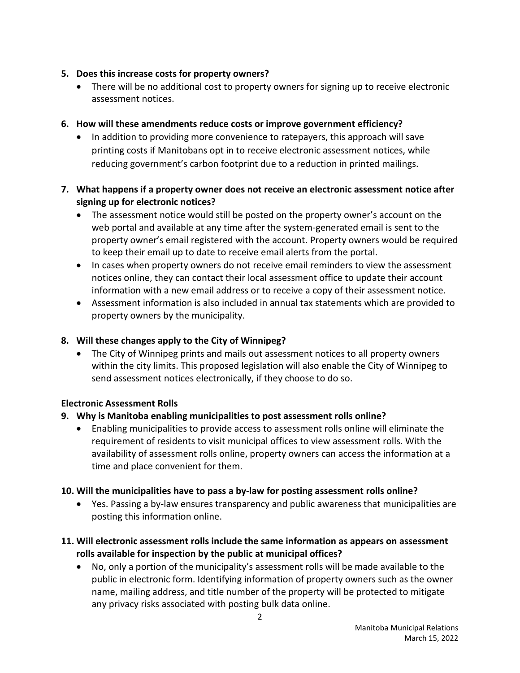## **5. Does this increase costs for property owners?**

• There will be no additional cost to property owners for signing up to receive electronic assessment notices.

# **6. How will these amendments reduce costs or improve government efficiency?**

• In addition to providing more convenience to ratepayers, this approach will save printing costs if Manitobans opt in to receive electronic assessment notices, while reducing government's carbon footprint due to a reduction in printed mailings.

# **7. What happens if a property owner does not receive an electronic assessment notice after signing up for electronic notices?**

- The assessment notice would still be posted on the property owner's account on the web portal and available at any time after the system-generated email is sent to the property owner's email registered with the account. Property owners would be required to keep their email up to date to receive email alerts from the portal.
- In cases when property owners do not receive email reminders to view the assessment notices online, they can contact their local assessment office to update their account information with a new email address or to receive a copy of their assessment notice.
- Assessment information is also included in annual tax statements which are provided to property owners by the municipality.

# **8. Will these changes apply to the City of Winnipeg?**

• The City of Winnipeg prints and mails out assessment notices to all property owners within the city limits. This proposed legislation will also enable the City of Winnipeg to send assessment notices electronically, if they choose to do so.

## **Electronic Assessment Rolls**

## **9. Why is Manitoba enabling municipalities to post assessment rolls online?**

• Enabling municipalities to provide access to assessment rolls online will eliminate the requirement of residents to visit municipal offices to view assessment rolls. With the availability of assessment rolls online, property owners can access the information at a time and place convenient for them.

## **10. Will the municipalities have to pass a by-law for posting assessment rolls online?**

• Yes. Passing a by-law ensures transparency and public awareness that municipalities are posting this information online.

## **11. Will electronic assessment rolls include the same information as appears on assessment rolls available for inspection by the public at municipal offices?**

• No, only a portion of the municipality's assessment rolls will be made available to the public in electronic form. Identifying information of property owners such as the owner name, mailing address, and title number of the property will be protected to mitigate any privacy risks associated with posting bulk data online.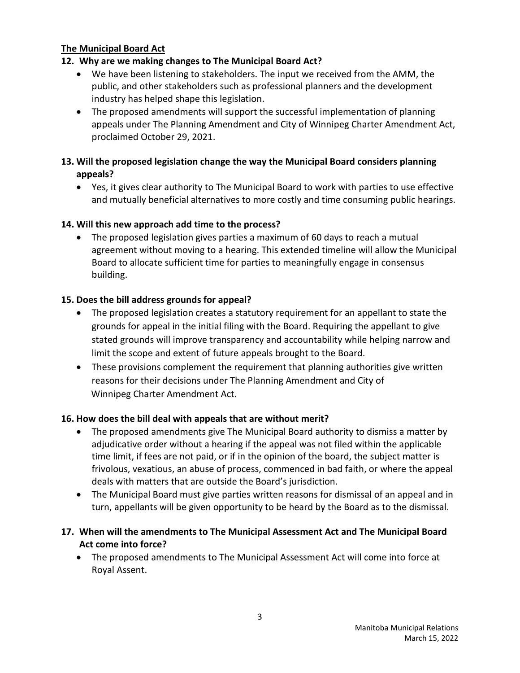#### **The Municipal Board Act**

## **12. Why are we making changes to The Municipal Board Act?**

- We have been listening to stakeholders. The input we received from the AMM, the public, and other stakeholders such as professional planners and the development industry has helped shape this legislation.
- The proposed amendments will support the successful implementation of planning appeals under The Planning Amendment and City of Winnipeg Charter Amendment Act, proclaimed October 29, 2021.

## **13. Will the proposed legislation change the way the Municipal Board considers planning appeals?**

• Yes, it gives clear authority to The Municipal Board to work with parties to use effective and mutually beneficial alternatives to more costly and time consuming public hearings.

#### **14. Will this new approach add time to the process?**

• The proposed legislation gives parties a maximum of 60 days to reach a mutual agreement without moving to a hearing. This extended timeline will allow the Municipal Board to allocate sufficient time for parties to meaningfully engage in consensus building.

## **15. Does the bill address grounds for appeal?**

- The proposed legislation creates a statutory requirement for an appellant to state the grounds for appeal in the initial filing with the Board. Requiring the appellant to give stated grounds will improve transparency and accountability while helping narrow and limit the scope and extent of future appeals brought to the Board.
- These provisions complement the requirement that planning authorities give written reasons for their decisions under The Planning Amendment and City of Winnipeg Charter Amendment Act.

## **16. How does the bill deal with appeals that are without merit?**

- The proposed amendments give The Municipal Board authority to dismiss a matter by adjudicative order without a hearing if the appeal was not filed within the applicable time limit, if fees are not paid, or if in the opinion of the board, the subject matter is frivolous, vexatious, an abuse of process, commenced in bad faith, or where the appeal deals with matters that are outside the Board's jurisdiction.
- The Municipal Board must give parties written reasons for dismissal of an appeal and in turn, appellants will be given opportunity to be heard by the Board as to the dismissal.

#### **17. When will the amendments to The Municipal Assessment Act and The Municipal Board Act come into force?**

• The proposed amendments to The Municipal Assessment Act will come into force at Royal Assent.